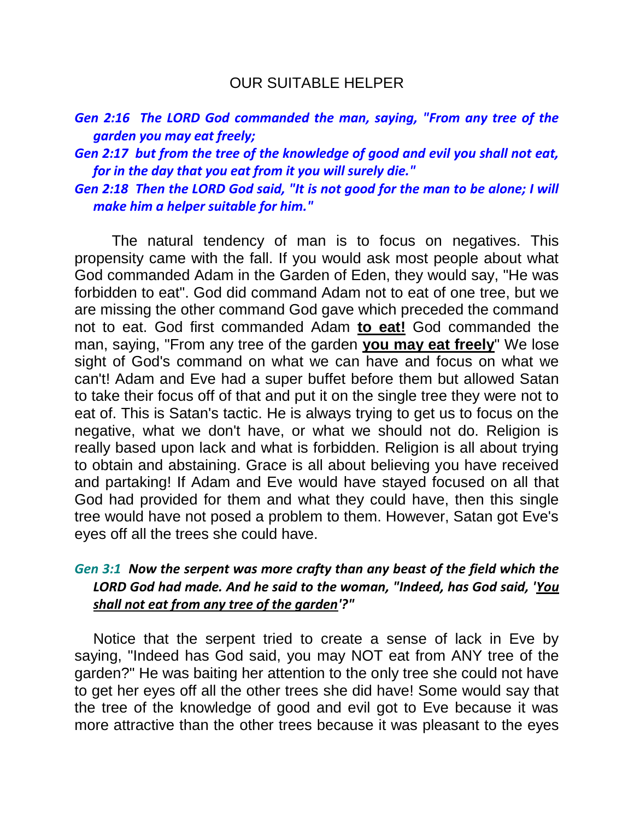## OUR SUITABLE HELPER

|                            |  | Gen 2:16 The LORD God commanded the man, saying, "From any tree of the |  |  |  |  |  |
|----------------------------|--|------------------------------------------------------------------------|--|--|--|--|--|
| garden you may eat freely; |  |                                                                        |  |  |  |  |  |

*Gen 2:17 but from the tree of the knowledge of good and evil you shall not eat, for in the day that you eat from it you will surely die."* 

*Gen 2:18 Then the LORD God said, "It is not good for the man to be alone; I will make him a helper suitable for him."* 

The natural tendency of man is to focus on negatives. This propensity came with the fall. If you would ask most people about what God commanded Adam in the Garden of Eden, they would say, "He was forbidden to eat". God did command Adam not to eat of one tree, but we are missing the other command God gave which preceded the command not to eat. God first commanded Adam **to eat!** God commanded the man, saying, "From any tree of the garden **you may eat freely**" We lose sight of God's command on what we can have and focus on what we can't! Adam and Eve had a super buffet before them but allowed Satan to take their focus off of that and put it on the single tree they were not to eat of. This is Satan's tactic. He is always trying to get us to focus on the negative, what we don't have, or what we should not do. Religion is really based upon lack and what is forbidden. Religion is all about trying to obtain and abstaining. Grace is all about believing you have received and partaking! If Adam and Eve would have stayed focused on all that God had provided for them and what they could have, then this single tree would have not posed a problem to them. However, Satan got Eve's eyes off all the trees she could have.

## *Gen 3:1 Now the serpent was more crafty than any beast of the field which the LORD God had made. And he said to the woman, "Indeed, has God said, 'You shall not eat from any tree of the garden'?"*

Notice that the serpent tried to create a sense of lack in Eve by saying, "Indeed has God said, you may NOT eat from ANY tree of the garden?" He was baiting her attention to the only tree she could not have to get her eyes off all the other trees she did have! Some would say that the tree of the knowledge of good and evil got to Eve because it was more attractive than the other trees because it was pleasant to the eyes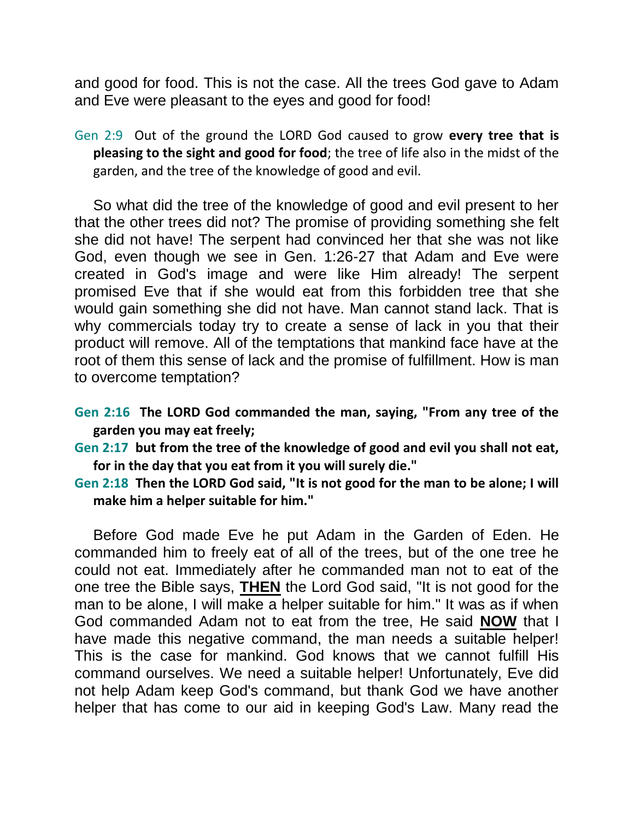and good for food. This is not the case. All the trees God gave to Adam and Eve were pleasant to the eyes and good for food!

Gen 2:9 Out of the ground the LORD God caused to grow **every tree that is pleasing to the sight and good for food**; the tree of life also in the midst of the garden, and the tree of the knowledge of good and evil.

So what did the tree of the knowledge of good and evil present to her that the other trees did not? The promise of providing something she felt she did not have! The serpent had convinced her that she was not like God, even though we see in Gen. 1:26-27 that Adam and Eve were created in God's image and were like Him already! The serpent promised Eve that if she would eat from this forbidden tree that she would gain something she did not have. Man cannot stand lack. That is why commercials today try to create a sense of lack in you that their product will remove. All of the temptations that mankind face have at the root of them this sense of lack and the promise of fulfillment. How is man to overcome temptation?

**Gen 2:16 The LORD God commanded the man, saying, "From any tree of the garden you may eat freely;** 

**Gen 2:17 but from the tree of the knowledge of good and evil you shall not eat, for in the day that you eat from it you will surely die."** 

**Gen 2:18 Then the LORD God said, "It is not good for the man to be alone; I will make him a helper suitable for him."** 

Before God made Eve he put Adam in the Garden of Eden. He commanded him to freely eat of all of the trees, but of the one tree he could not eat. Immediately after he commanded man not to eat of the one tree the Bible says, **THEN** the Lord God said, "It is not good for the man to be alone, I will make a helper suitable for him." It was as if when God commanded Adam not to eat from the tree, He said **NOW** that I have made this negative command, the man needs a suitable helper! This is the case for mankind. God knows that we cannot fulfill His command ourselves. We need a suitable helper! Unfortunately, Eve did not help Adam keep God's command, but thank God we have another helper that has come to our aid in keeping God's Law. Many read the